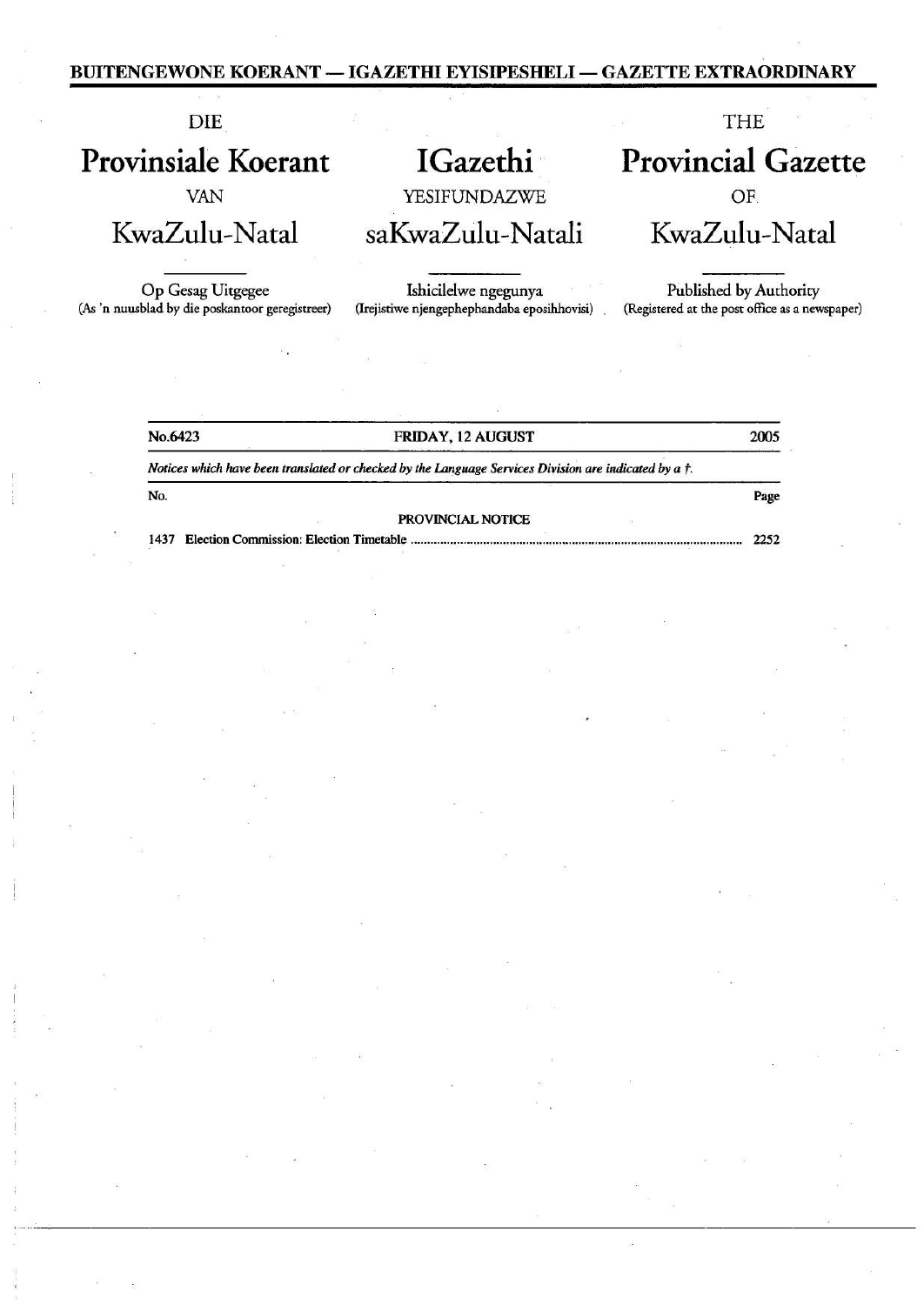## BUITENGEWONE KOERANT — IGAZETHI EYISIPESHELI — GAZETTE EXTRAORDINARY  $\begin{tabular}{c|c|c} \hline \multicolumn{1}{c}{\textbf{GEWONE KOREANT}-IGAZETHI EYISIPESHEL}-GAZETTE EXTRAOF} \\\hline \multicolumn{1}{c}{\textbf{DIE}} & \textbf{THE} \\\hline \multicolumn{1}{c}{\textbf{NISIE}} & \textbf{GZ} & \textbf{NISIEUNDAZWE} \\\hline \multicolumn{1}{c}{\textbf{VAN}} & \textbf{VESTFUNDAZWE} \\\hline \multicolumn{1}{c}{\textbf{VazZulu-Natal}} & \textbf{SaKwaZulu-Natali}} & \textbf{KwaZulu-Naculu-Naculu-Naculu-N$

| <b>BUITENGEWONE KOERANT — IGAZETHI EYISIPESHELI — GAZETTE EXTRAORDINARY</b>                                       |  |
|-------------------------------------------------------------------------------------------------------------------|--|
|                                                                                                                   |  |
|                                                                                                                   |  |
|                                                                                                                   |  |
|                                                                                                                   |  |
|                                                                                                                   |  |
|                                                                                                                   |  |
|                                                                                                                   |  |
| <b>Provincial Gazette</b>                                                                                         |  |
| OF.<br>KwaZulu-Natal                                                                                              |  |
| Published by Authority                                                                                            |  |
| (Registered at the post office as a newspaper)                                                                    |  |
|                                                                                                                   |  |
|                                                                                                                   |  |
|                                                                                                                   |  |
|                                                                                                                   |  |
|                                                                                                                   |  |
|                                                                                                                   |  |
|                                                                                                                   |  |
|                                                                                                                   |  |
|                                                                                                                   |  |
|                                                                                                                   |  |
|                                                                                                                   |  |
| $\label{eq:R} \begin{array}{lll} \mathbb{R} & & \mathbb{R} & \\ & & \mathbb{R} & \\ & & & \mathbb{R} \end{array}$ |  |
|                                                                                                                   |  |
|                                                                                                                   |  |
|                                                                                                                   |  |
|                                                                                                                   |  |
|                                                                                                                   |  |
|                                                                                                                   |  |